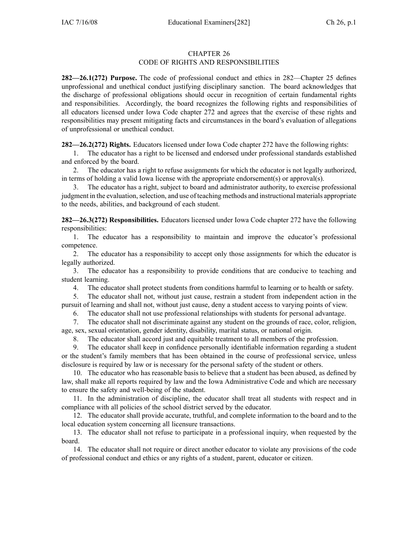## CHAPTER 26 CODE OF RIGHTS AND RESPONSIBILITIES

**282—26.1(272) Purpose.** The code of professional conduct and ethics in 282—Chapter 25 defines unprofessional and unethical conduct justifying disciplinary sanction. The board acknowledges that the discharge of professional obligations should occur in recognition of certain fundamental rights and responsibilities. Accordingly, the board recognizes the following rights and responsibilities of all educators licensed under Iowa Code chapter 272 and agrees that the exercise of these rights and responsibilities may presen<sup>t</sup> mitigating facts and circumstances in the board's evaluation of allegations of unprofessional or unethical conduct.

**282—26.2(272) Rights.** Educators licensed under Iowa Code chapter 272 have the following rights:

1. The educator has <sup>a</sup> right to be licensed and endorsed under professional standards established and enforced by the board.

2. The educator has <sup>a</sup> right to refuse assignments for which the educator is not legally authorized, in terms of holding <sup>a</sup> valid Iowa license with the appropriate endorsement(s) or approval(s).

3. The educator has <sup>a</sup> right, subject to board and administrator authority, to exercise professional judgment in the evaluation, selection, and use of teaching methods and instructional materials appropriate to the needs, abilities, and background of each student.

**282—26.3(272) Responsibilities.** Educators licensed under Iowa Code chapter 272 have the following responsibilities:

1. The educator has <sup>a</sup> responsibility to maintain and improve the educator's professional competence.

2. The educator has <sup>a</sup> responsibility to accep<sup>t</sup> only those assignments for which the educator is legally authorized.

3. The educator has <sup>a</sup> responsibility to provide conditions that are conducive to teaching and student learning.

4. The educator shall protect students from conditions harmful to learning or to health or safety.

5. The educator shall not, without just cause, restrain <sup>a</sup> student from independent action in the pursuit of learning and shall not, without just cause, deny <sup>a</sup> student access to varying points of view.

6. The educator shall not use professional relationships with students for personal advantage.

7. The educator shall not discriminate against any student on the grounds of race, color, religion, age, sex, sexual orientation, gender identity, disability, marital status, or national origin.

8. The educator shall accord just and equitable treatment to all members of the profession.

9. The educator shall keep in confidence personally identifiable information regarding <sup>a</sup> student or the student's family members that has been obtained in the course of professional service, unless disclosure is required by law or is necessary for the personal safety of the student or others.

10. The educator who has reasonable basis to believe that <sup>a</sup> student has been abused, as defined by law, shall make all reports required by law and the Iowa Administrative Code and which are necessary to ensure the safety and well-being of the student.

11. In the administration of discipline, the educator shall treat all students with respec<sup>t</sup> and in compliance with all policies of the school district served by the educator.

12. The educator shall provide accurate, truthful, and complete information to the board and to the local education system concerning all licensure transactions.

13. The educator shall not refuse to participate in <sup>a</sup> professional inquiry, when requested by the board.

14. The educator shall not require or direct another educator to violate any provisions of the code of professional conduct and ethics or any rights of <sup>a</sup> student, parent, educator or citizen.